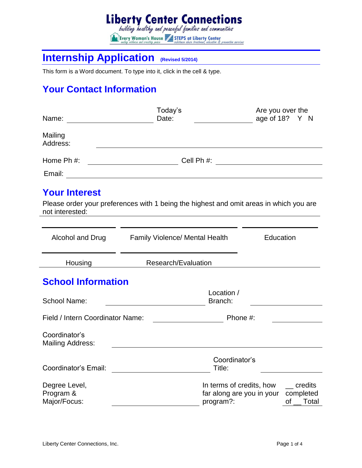# **Liberty Center Connections**<br>building healthy and peaceful families and communities Every Woman's House **Example 3 STEPS at Liberty Center**<br> *Every Woman's House and creating peace* **Example 2** *additioned above treatment, education & presentine vervices*

## **Internship Application (Revised 5/2014)**

This form is a Word document. To type into it, click in the cell & type.

### **Your Contact Information**

| Name:                                      | Today's<br>Date:                                      | Are you over the<br>age of 18? Y N                                                                                                                                                                                                                                                                                                    |
|--------------------------------------------|-------------------------------------------------------|---------------------------------------------------------------------------------------------------------------------------------------------------------------------------------------------------------------------------------------------------------------------------------------------------------------------------------------|
| Mailing<br>Address:                        |                                                       |                                                                                                                                                                                                                                                                                                                                       |
| Home Ph #:                                 |                                                       |                                                                                                                                                                                                                                                                                                                                       |
| Email:                                     |                                                       |                                                                                                                                                                                                                                                                                                                                       |
| <b>Your Interest</b><br>not interested:    | <u> 1980 - Johann Stein, fransk politik (d. 1980)</u> | Please order your preferences with 1 being the highest and omit areas in which you are                                                                                                                                                                                                                                                |
| Alcohol and Drug                           | <b>Family Violence/ Mental Health</b>                 | Education                                                                                                                                                                                                                                                                                                                             |
| Housing                                    | Research/Evaluation                                   |                                                                                                                                                                                                                                                                                                                                       |
| <b>School Information</b>                  |                                                       |                                                                                                                                                                                                                                                                                                                                       |
| <b>School Name:</b>                        |                                                       | Location /<br>Branch:                                                                                                                                                                                                                                                                                                                 |
| Field / Intern Coordinator Name:           |                                                       | Phone #:                                                                                                                                                                                                                                                                                                                              |
| Coordinator's<br><b>Mailing Address:</b>   |                                                       |                                                                                                                                                                                                                                                                                                                                       |
| Coordinator's Email:                       |                                                       | Coordinator's<br>Title:                                                                                                                                                                                                                                                                                                               |
| Degree Level,<br>Program &<br>Major/Focus: |                                                       | In terms of credits, how<br>credits<br>far along are you in your completed<br>program?:<br>of the control of the control of the control of the control of the control of the control of the control of th<br>Separate control of the control of the control of the control of the control of the control of the control of t<br>Total |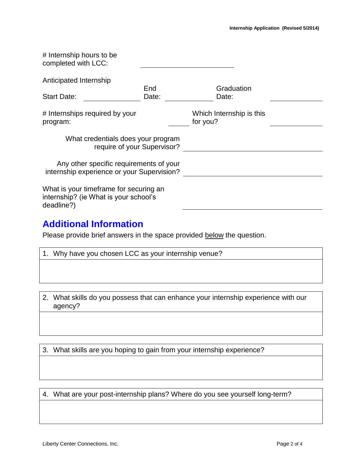| # Internship hours to be<br>completed with LCC:                                               |              |                                      |  |
|-----------------------------------------------------------------------------------------------|--------------|--------------------------------------|--|
| Anticipated Internship                                                                        |              |                                      |  |
| <b>Start Date:</b>                                                                            | End<br>Date: | Graduation<br>Date:                  |  |
| # Internships required by your<br>program:                                                    |              | Which Internship is this<br>for you? |  |
| What credentials does your program<br>require of your Supervisor?                             |              |                                      |  |
| Any other specific requirements of your<br>internship experience or your Supervision?         |              |                                      |  |
| What is your timeframe for securing an<br>internship? (ie What is your school's<br>deadline?) |              |                                      |  |

#### **Additional Information**

Please provide brief answers in the space provided below the question.

| 1. Why have you chosen LCC as your internship venue? |
|------------------------------------------------------|
|                                                      |
|                                                      |

2. What skills do you possess that can enhance your internship experience with our agency?

3. What skills are you hoping to gain from your internship experience?

4. What are your post-internship plans? Where do you see yourself long-term?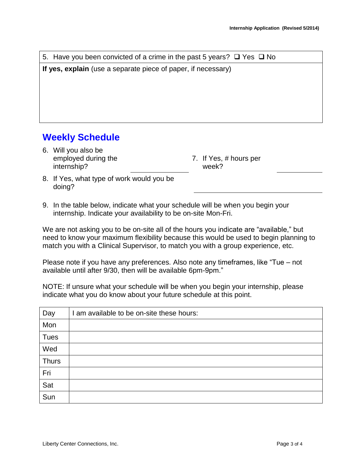| 5. Have you been convicted of a crime in the past 5 years? $\square$ Yes $\square$ No        |  |  |
|----------------------------------------------------------------------------------------------|--|--|
| If yes, explain (use a separate piece of paper, if necessary)                                |  |  |
|                                                                                              |  |  |
|                                                                                              |  |  |
|                                                                                              |  |  |
|                                                                                              |  |  |
| <b>Weekly Schedule</b>                                                                       |  |  |
| 6. Will you also be<br>employed during the<br>7. If Yes, # hours per<br>internship?<br>week? |  |  |

- 8. If Yes, what type of work would you be doing?
- 9. In the table below, indicate what your schedule will be when you begin your internship. Indicate your availability to be on-site Mon-Fri.

We are not asking you to be on-site all of the hours you indicate are "available," but need to know your maximum flexibility because this would be used to begin planning to match you with a Clinical Supervisor, to match you with a group experience, etc.

Please note if you have any preferences. Also note any timeframes, like "Tue – not available until after 9/30, then will be available 6pm-9pm."

NOTE: If unsure what your schedule will be when you begin your internship, please indicate what you do know about your future schedule at this point.

| Day          | I am available to be on-site these hours: |
|--------------|-------------------------------------------|
| Mon          |                                           |
| <b>Tues</b>  |                                           |
| Wed          |                                           |
| <b>Thurs</b> |                                           |
| Fri          |                                           |
| Sat          |                                           |
| Sun          |                                           |